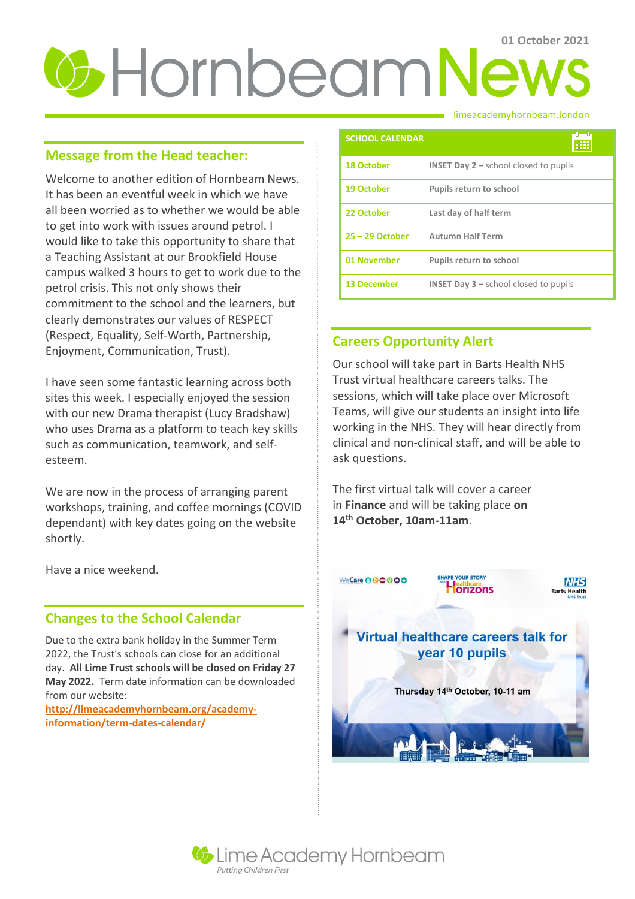# *C* Hornbeam News

## **Message from the Head teacher:**

Welcome to another edition of Hornbeam News. It has been an eventful week in which we have all been worried as to whether we would be able to get into work with issues around petrol. I would like to take this opportunity to share that a Teaching Assistant at our Brookfield House campus walked 3 hours to get to work due to the petrol crisis. This not only shows their commitment to the school and the learners, but clearly demonstrates our values of RESPECT (Respect, Equality, Self-Worth, Partnership, Enjoyment, Communication, Trust).

I have seen some fantastic learning across both sites this week. I especially enjoyed the session with our new Drama therapist (Lucy Bradshaw) who uses Drama as a platform to teach key skills such as communication, teamwork, and selfesteem.

We are now in the process of arranging parent workshops, training, and coffee mornings (COVID dependant) with key dates going on the website shortly.

Have a nice weekend.

### **Changes to the School Calendar**

Due to the extra bank holiday in the Summer Term 2022, the Trust's schools can close for an additional day. **All Lime Trust schools will be closed on Friday 27 May 2022.** Term date information can be downloaded from our website:

**[http://limeacademyhornbeam.org/academy](http://limeacademyhornbeam.org/academy-information/term-dates-calendar/)[information/term-dates-calendar/](http://limeacademyhornbeam.org/academy-information/term-dates-calendar/)**

limeacademyhornbeam.london

| <b>SCHOOL CALENDAR</b> |                                                           |
|------------------------|-----------------------------------------------------------|
| <b>18 October</b>      | <b>INSET Day <math>2</math> – school closed to pupils</b> |
| <b>19 October</b>      | <b>Pupils return to school</b>                            |
| 22 October             | Last day of half term                                     |
| $25 - 29$ October      | <b>Autumn Half Term</b>                                   |
| 01 November            | <b>Pupils return to school</b>                            |
| <b>13 December</b>     | <b>INSET Day <math>3</math> – school closed to pupils</b> |

# **Careers Opportunity Alert**

Our school will take part in Barts Health NHS Trust virtual healthcare careers talks. The sessions, which will take place over Microsoft Teams, will give our students an insight into life working in the NHS. They will hear directly from clinical and non-clinical staff, and will be able to ask questions.

The first virtual talk will cover a career in **Finance** and will be taking place **on 14th October, 10am-11am**.